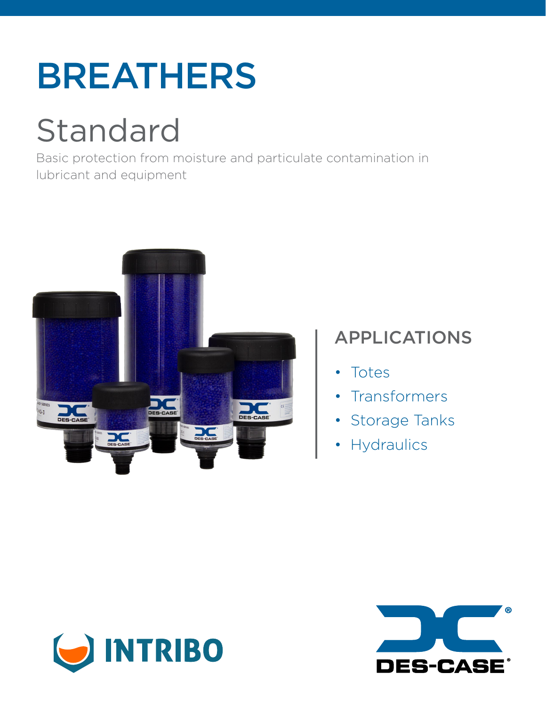# BREATHERS

# Standard

Basic protection from moisture and particulate contamination in lubricant and equipment



# APPLICATIONS

- Totes
- Transformers
- Storage Tanks
- Hydraulics



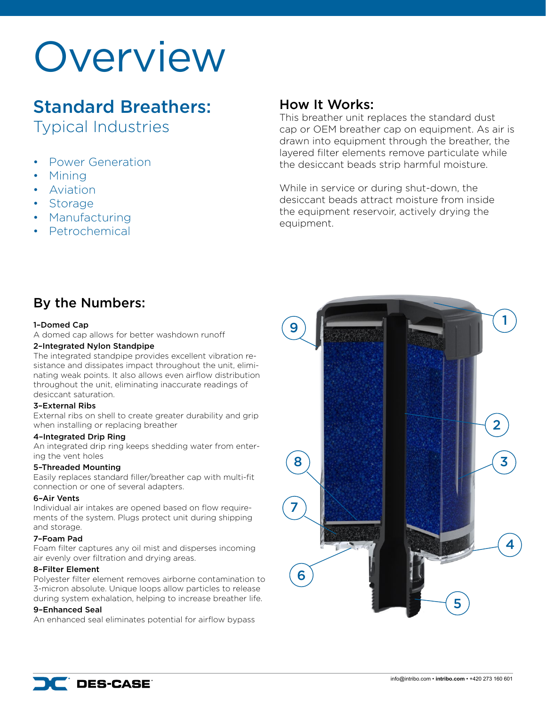# **Overview**

# Standard Breathers: Typical Industries

- Power Generation
- Mining
- Aviation
- Storage
- Manufacturing
- Petrochemical

## How It Works:

This breather unit replaces the standard dust cap or OEM breather cap on equipment. As air is drawn into equipment through the breather, the layered filter elements remove particulate while the desiccant beads strip harmful moisture.

While in service or during shut-down, the desiccant beads attract moisture from inside the equipment reservoir, actively drying the equipment.

# By the Numbers:

#### 1–Domed Cap

A domed cap allows for better washdown runoff

#### 2–Integrated Nylon Standpipe

The integrated standpipe provides excellent vibration resistance and dissipates impact throughout the unit, eliminating weak points. It also allows even airflow distribution throughout the unit, eliminating inaccurate readings of desiccant saturation.

#### 3–External Ribs

External ribs on shell to create greater durability and grip when installing or replacing breather

#### 4–Integrated Drip Ring

An integrated drip ring keeps shedding water from entering the vent holes

#### 5–Threaded Mounting

Easily replaces standard filler/breather cap with multi-fit connection or one of several adapters.

#### 6–Air Vents

Individual air intakes are opened based on flow requirements of the system. Plugs protect unit during shipping and storage.

#### 7–Foam Pad

Foam filter captures any oil mist and disperses incoming air evenly over filtration and drying areas.

#### 8–Filter Element

Polyester filter element removes airborne contamination to 3-micron absolute. Unique loops allow particles to release during system exhalation, helping to increase breather life.

#### 9–Enhanced Seal

An enhanced seal eliminates potential for airflow bypass